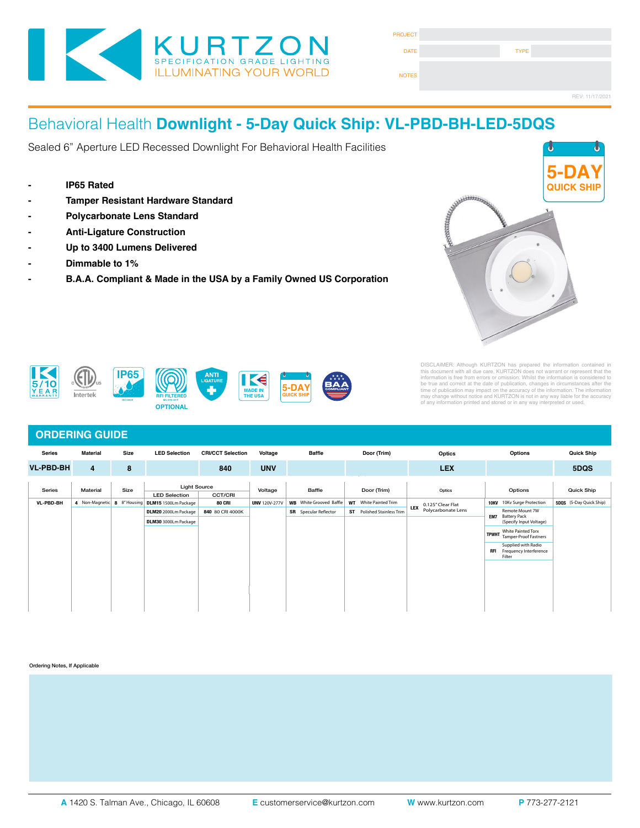

| <b>PROJECT</b> |             |                 |
|----------------|-------------|-----------------|
| <b>DATE</b>    | <b>TYPE</b> |                 |
| <b>NOTES</b>   |             |                 |
|                |             | REV: 11/17/2021 |

#### Behavioral Health **Downlight - 5-Day Quick Ship: VL-PBD-BH-LED-5DQS** Cat. Number **Denavioral Health Downight - 3-Day Quick Ship: v** Cat. Number Approved By

Fixture Type

Fixture Type

Sealed 6" Aperture LED Recessed Downlight For Behavioral Health Facilities **SPECIFICATIONS**

- **Example 1965 Rated Service Service Service Service Service Service Service Service Service Service Service Service Service Service Service Service Service Service Service Service Service Service Service Service Service Se**  $s_{\text{max}}$  steel fluxh head screws to allow easy wiping of the surface. Available in .050  $30\,\mathrm{m}$ supplied with captive stainless steel flush head screws to allow easy wiping of the surface. Available in .050" 3003 Powder coated Alum. , 20Ga 304 Polished SS, or 18Ga Powder coated CRS.
- Tamper Resistant Hardware Standard
- **LENS**: High durability .135" thick virgin acrylic with P12 prismatic pattern inverted. Sealed to door with NSF listed RTV silicone. See "Options" for other choices. **LEDS**: Commercial commercial commercial constructions of Color Temperature (CCT), FLUX, and CRI. Highly efficient and consistent consistent consistent consistent with with a solid applications. B50/L70 and compliant with **LENS**: High durability .135" thick virgin acrylic with P12 prismatic pattern inverted. Sealed to door with NSF listed RTV silicone. See "Options" for other choices. - Polycarbonate Lens Standard  $\frac{1}{2}$
- **Anti-Ligature Construction**
- $\blacksquare$ load, Ballast Factor Greater to match specific lumen or wattage requirements. Drivers with higher input voltage ratings are available, consult factory for driver specifications. Driver specifications. Driver specifi **DRIVERS**: Standard Universal Voltage Class 2 drivers are 0-10v Dimmable to 1% for most LED configurations, and rated -20C (-4F). They come with at least 2.5Kv surge protection, have less than 10% THD at max - Later than the Up to 3400 Lumens Delivered the control of the control of the control of the control of the control of the control of the control of the control of the control of the control of the control of the control
- Dimmable to 1% **INSTALL RECESSED** in State for Grid and Flanged installation. Accommodate to the Consult factory for 2" T-Bar Grid compatibility in Section 4" T-Bar Grid compatibility (Consult factory for 2" T-Bar Grid compatibility). Fo
- B.A.A. Compliant & Made in the USA by a Family Owned US Corporation

**Series Installation Type Material Size Source CCT Voltage Options**









**IEC 60529**





DISCLAIMER: Although KURTZON has prepared the information contained in<br>this document with all due care, KURTZON does not warrant or represent that the<br>information is free from errors or omission. Whilst the information is

## **ORDERING GUIDE**

| <b>Series</b>    | <b>Material</b>            | Size | <b>LED Selection</b> | <b>CRI/CCT Selection</b>       | Voltage              | <b>Baffle</b>                  |             | Door (Trim)                       | Optics                          |            | Options                                                 | <b>Quick Ship</b>       |
|------------------|----------------------------|------|----------------------|--------------------------------|----------------------|--------------------------------|-------------|-----------------------------------|---------------------------------|------------|---------------------------------------------------------|-------------------------|
| <b>VL-PBD-BH</b> | 4                          | 8    |                      | 840                            | <b>UNV</b>           |                                |             |                                   | <b>LEX</b>                      |            |                                                         | 5DQS                    |
| Series           | Material                   | Size |                      | <b>Light Source</b><br>Voltage |                      | Baffle                         | Door (Trim) | Optics                            |                                 | Options    | Quick Ship                                              |                         |
|                  |                            |      | <b>LED Selection</b> | CCT/CRI                        |                      |                                |             |                                   |                                 |            |                                                         |                         |
| VL-PBD-BH        | 4 Non-Magnetic 8 8"Housing |      | DLM15 1500Lm Package | <b>80 CRI</b>                  | <b>UNV 120V-277V</b> | <b>WB</b> White Grooved Baffle | <b>WT</b>   | White Painted Trim                | 0.125" Clear Flat<br><b>LEX</b> |            | 10KV 10Kv Surge Protection                              | 5DOS (5-Day Quick Ship) |
|                  |                            |      | DLM20 2000Lm Package | 840 80 CRI 4000K               |                      | <b>SR</b> Specular Reflector   |             | <b>ST</b> Polished Stainless Trim | Polycarbonate Lens              | EM7        | Remote Mount 7W<br><b>Battery Pack</b>                  |                         |
|                  |                            |      | DLM30 3000Lm Package |                                |                      |                                |             |                                   |                                 |            | (Specify Input Voltage)                                 |                         |
|                  |                            |      |                      |                                |                      |                                |             |                                   |                                 |            | White Painted Torx<br>TPWHT Tamper-Proof Fastners       |                         |
|                  |                            |      |                      |                                |                      |                                |             |                                   |                                 | <b>RFI</b> | Supplied with Radio<br>Frequency Interference<br>Filter |                         |
|                  |                            |      |                      |                                |                      |                                |             |                                   |                                 |            |                                                         |                         |
|                  |                            |      |                      |                                |                      |                                |             |                                   |                                 |            |                                                         |                         |
|                  |                            |      |                      |                                |                      |                                |             |                                   |                                 |            |                                                         |                         |
|                  |                            |      |                      |                                |                      |                                |             |                                   |                                 |            |                                                         |                         |
|                  |                            |      |                      |                                |                      |                                |             |                                   |                                 |            |                                                         |                         |

Ordering Notes, If Applicable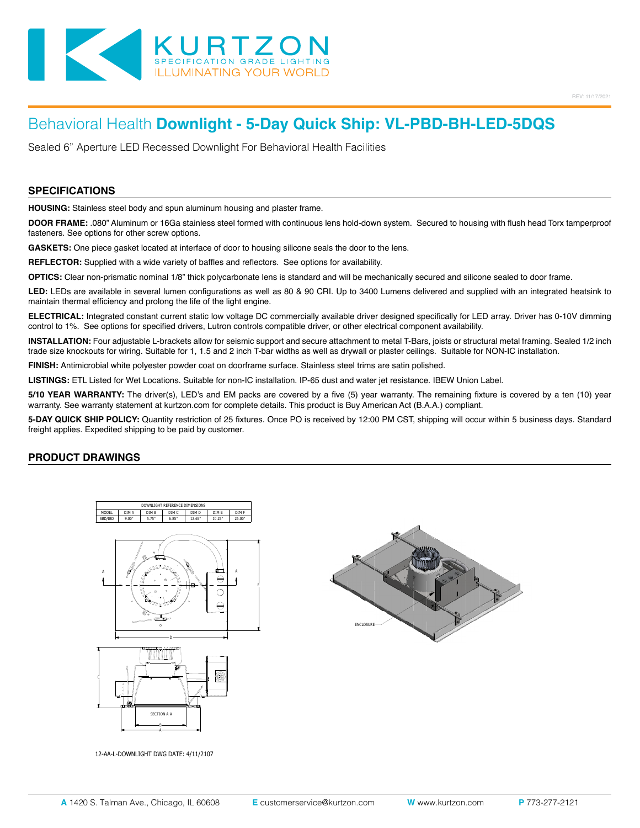

# Behavioral Health **Downlight - 5-Day Quick Ship: VL-PBD-BH-LED-5DQS**

Sealed 6" Aperture LED Recessed Downlight For Behavioral Health Facilities

#### **SPECIFICATIONS**

**HOUSING:** Stainless steel body and spun aluminum housing and plaster frame.

**DOOR FRAME:** .080" Aluminum or 16Ga stainless steel formed with continuous lens hold-down system. Secured to housing with flush head Torx tamperproof fasteners. See options for other screw options.

**GASKETS:** One piece gasket located at interface of door to housing silicone seals the door to the lens.

**REFLECTOR:** Supplied with a wide variety of baffles and reflectors. See options for availability.

**OPTICS:** Clear non-prismatic nominal 1/8" thick polycarbonate lens is standard and will be mechanically secured and silicone sealed to door frame.

**LED:** LEDs are available in several lumen configurations as well as 80 & 90 CRI. Up to 3400 Lumens delivered and supplied with an integrated heatsink to maintain thermal efficiency and prolong the life of the light engine.

**ELECTRICAL:** Integrated constant current static low voltage DC commercially available driver designed specifically for LED array. Driver has 0-10V dimming control to 1%. See options for specified drivers, Lutron controls compatible driver, or other electrical component availability.

**INSTALLATION:** Four adjustable L-brackets allow for seismic support and secure attachment to metal T-Bars, joists or structural metal framing. Sealed 1/2 inch trade size knockouts for wiring. Suitable for 1, 1.5 and 2 inch T-bar widths as well as drywall or plaster ceilings. Suitable for NON-IC installation.

**FINISH:** Antimicrobial white polyester powder coat on doorframe surface. Stainless steel trims are satin polished.

**LISTINGS:** ETL Listed for Wet Locations. Suitable for non-IC installation. IP-65 dust and water jet resistance. IBEW Union Label.

**5/10 YEAR WARRANTY:** The driver(s), LED's and EM packs are covered by a five (5) year warranty. The remaining fixture is covered by a ten (10) year warranty. See warranty statement at kurtzon.com for complete details. This product is Buy American Act (B.A.A.) compliant.

**5-DAY QUICK SHIP POLICY:** Quantity restriction of 25 fixtures. Once PO is received by 12:00 PM CST, shipping will occur within 5 business days. Standard freight applies. Expedited shipping to be paid by customer.

### **PRODUCT DRAWINGS**







12-AA-L-DOWNLIGHT DWG DATE: 4/11/2107